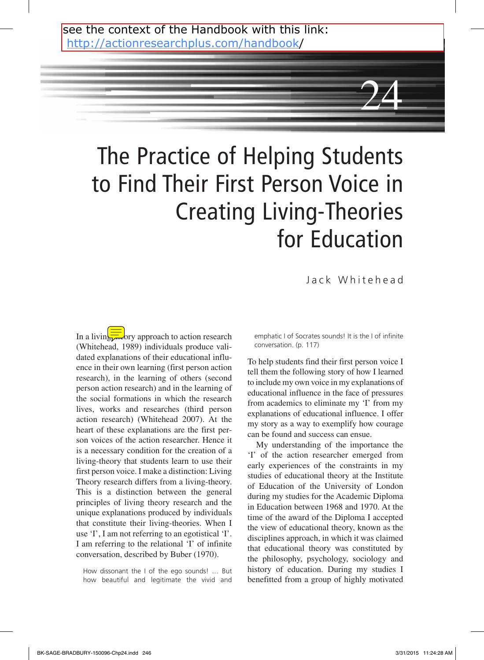# The Practice of Helping Students to Find Their First Person Voice in Creating Living-Theories for Education

Jack Whitehead

24

In a living  $\frac{1}{\sqrt{1-\frac{1}{n}}}\$  approach to action research (Whitehead, 1989) individuals produce validated explanations of their educational influence in their own learning (first person action research), in the learning of others (second person action research) and in the learning of the social formations in which the research lives, works and researches (third person action research) (Whitehead 2007). At the heart of these explanations are the first person voices of the action researcher. Hence it is a necessary condition for the creation of a living-theory that students learn to use their first person voice. I make a distinction: Living Theory research differs from a living-theory. This is a distinction between the general principles of living theory research and the unique explanations produced by individuals that constitute their living-theories. When I use 'I', I am not referring to an egotistical 'I'. I am referring to the relational 'I' of infinite conversation, described by Buber (1970).

How dissonant the I of the ego sounds! … But how beautiful and legitimate the vivid and

emphatic I of Socrates sounds! It is the I of infinite conversation. (p. 117)

To help students find their first person voice I tell them the following story of how I learned to include my own voice in my explanations of educational influence in the face of pressures from academics to eliminate my 'I' from my explanations of educational influence. I offer my story as a way to exemplify how courage can be found and success can ensue.

My understanding of the importance the 'I' of the action researcher emerged from early experiences of the constraints in my studies of educational theory at the Institute of Education of the University of London during my studies for the Academic Diploma in Education between 1968 and 1970. At the time of the award of the Diploma I accepted the view of educational theory, known as the disciplines approach, in which it was claimed that educational theory was constituted by the philosophy, psychology, sociology and history of education. During my studies I benefitted from a group of highly motivated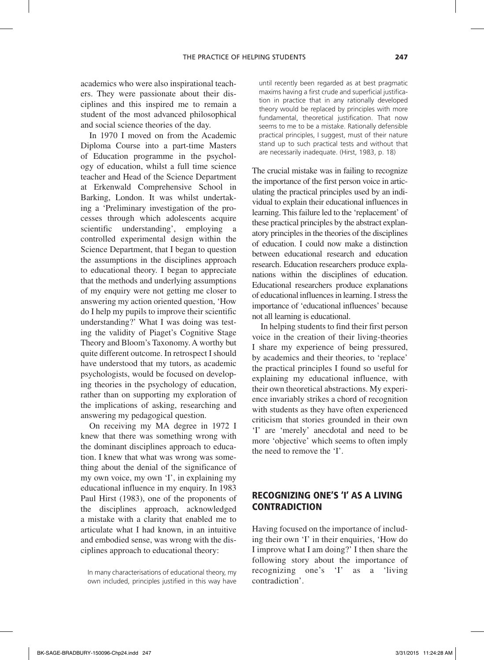academics who were also inspirational teachers. They were passionate about their disciplines and this inspired me to remain a student of the most advanced philosophical and social science theories of the day.

In 1970 I moved on from the Academic Diploma Course into a part-time Masters of Education programme in the psychology of education, whilst a full time science teacher and Head of the Science Department at Erkenwald Comprehensive School in Barking, London. It was whilst undertaking a 'Preliminary investigation of the processes through which adolescents acquire scientific understanding', employing a controlled experimental design within the Science Department, that I began to question the assumptions in the disciplines approach to educational theory. I began to appreciate that the methods and underlying assumptions of my enquiry were not getting me closer to answering my action oriented question, 'How do I help my pupils to improve their scientific understanding?' What I was doing was testing the validity of Piaget's Cognitive Stage Theory and Bloom's Taxonomy. A worthy but quite different outcome. In retrospect I should have understood that my tutors, as academic psychologists, would be focused on developing theories in the psychology of education, rather than on supporting my exploration of the implications of asking, researching and answering my pedagogical question.

On receiving my MA degree in 1972 I knew that there was something wrong with the dominant disciplines approach to education. I knew that what was wrong was something about the denial of the significance of my own voice, my own 'I', in explaining my educational influence in my enquiry. In 1983 Paul Hirst (1983), one of the proponents of the disciplines approach, acknowledged a mistake with a clarity that enabled me to articulate what I had known, in an intuitive and embodied sense, was wrong with the disciplines approach to educational theory:

In many characterisations of educational theory, my own included, principles justified in this way have until recently been regarded as at best pragmatic maxims having a first crude and superficial justification in practice that in any rationally developed theory would be replaced by principles with more fundamental, theoretical justification. That now seems to me to be a mistake. Rationally defensible practical principles, I suggest, must of their nature stand up to such practical tests and without that are necessarily inadequate. (Hirst, 1983, p. 18)

The crucial mistake was in failing to recognize the importance of the first person voice in articulating the practical principles used by an individual to explain their educational influences in learning. This failure led to the 'replacement' of these practical principles by the abstract explanatory principles in the theories of the disciplines of education. I could now make a distinction between educational research and education research. Education researchers produce explanations within the disciplines of education. Educational researchers produce explanations of educational influences in learning. I stress the importance of 'educational influences' because not all learning is educational.

In helping students to find their first person voice in the creation of their living-theories I share my experience of being pressured, by academics and their theories, to 'replace' the practical principles I found so useful for explaining my educational influence, with their own theoretical abstractions. My experience invariably strikes a chord of recognition with students as they have often experienced criticism that stories grounded in their own 'I' are 'merely' anecdotal and need to be more 'objective' which seems to often imply the need to remove the 'I'.

## Recognizing one's 'I' as a living **CONTRADICTION**

Having focused on the importance of including their own 'I' in their enquiries, 'How do I improve what I am doing?' I then share the following story about the importance of recognizing one's 'I' as a 'living contradiction'.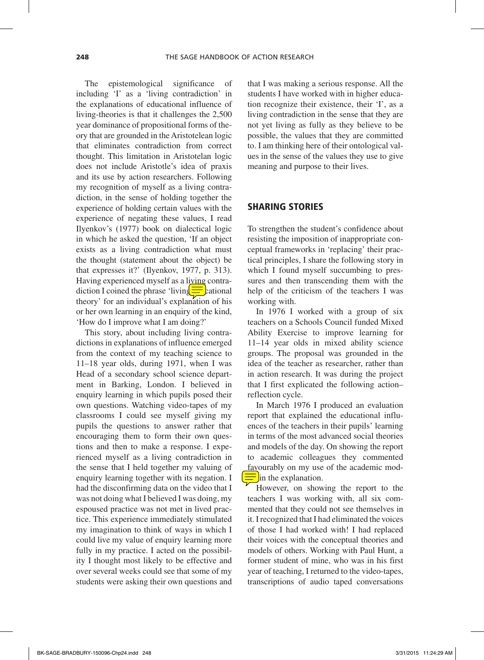The epistemological significance of including 'I' as a 'living contradiction' in the explanations of educational influence of living-theories is that it challenges the 2,500 year dominance of propositional forms of theory that are grounded in the Aristotelean logic that eliminates contradiction from correct thought. This limitation in Aristotelan logic does not include Aristotle's idea of praxis and its use by action researchers. Following my recognition of myself as a living contradiction, in the sense of holding together the experience of holding certain values with the experience of negating these values, I read Ilyenkov's (1977) book on dialectical logic in which he asked the question, 'If an object exists as a living contradiction what must the thought (statement about the object) be that expresses it?' (Ilyenkov, 1977, p. 313). Having experienced myself as a living contradiction I coined the phrase 'living  $\equiv$  cational theory' for an individual's explanation of his or her own learning in an enquiry of the kind, 'How do I improve what I am doing?'

This story, about including living contradictions in explanations of influence emerged from the context of my teaching science to 11–18 year olds, during 1971, when I was Head of a secondary school science department in Barking, London. I believed in enquiry learning in which pupils posed their own questions. Watching video-tapes of my classrooms I could see myself giving my pupils the questions to answer rather that encouraging them to form their own questions and then to make a response. I experienced myself as a living contradiction in the sense that I held together my valuing of enquiry learning together with its negation. I had the disconfirming data on the video that I was not doing what I believed I was doing, my espoused practice was not met in lived practice. This experience immediately stimulated my imagination to think of ways in which I could live my value of enquiry learning more fully in my practice. I acted on the possibility I thought most likely to be effective and over several weeks could see that some of my students were asking their own questions and

that I was making a serious response. All the students I have worked with in higher education recognize their existence, their 'I', as a living contradiction in the sense that they are not yet living as fully as they believe to be possible, the values that they are committed to. I am thinking here of their ontological values in the sense of the values they use to give meaning and purpose to their lives.

#### Sharing stories

To strengthen the student's confidence about resisting the imposition of inappropriate conceptual frameworks in 'replacing' their practical principles, I share the following story in which I found myself succumbing to pressures and then transcending them with the help of the criticism of the teachers I was working with.

In 1976 I worked with a group of six teachers on a Schools Council funded Mixed Ability Exercise to improve learning for 11–14 year olds in mixed ability science groups. The proposal was grounded in the idea of the teacher as researcher, rather than in action research. It was during the project that I first explicated the following action– reflection cycle.

In March 1976 I produced an evaluation report that explained the educational influences of the teachers in their pupils' learning in terms of the most advanced social theories and models of the day. On showing the report to academic colleagues they commented favourably on my use of the academic mod- $\equiv$  in the explanation.

However, on showing the report to the teachers I was working with, all six commented that they could not see themselves in it. I recognized that I had eliminated the voices of those I had worked with! I had replaced their voices with the conceptual theories and models of others. Working with Paul Hunt, a former student of mine, who was in his first year of teaching, I returned to the video-tapes, transcriptions of audio taped conversations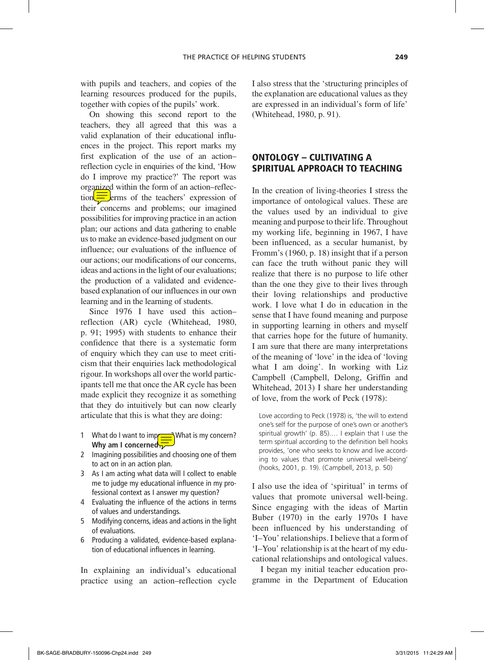with pupils and teachers, and copies of the learning resources produced for the pupils, together with copies of the pupils' work.

On showing this second report to the teachers, they all agreed that this was a valid explanation of their educational influences in the project. This report marks my first explication of the use of an action– reflection cycle in enquiries of the kind, 'How do I improve my practice?' The report was organized within the form of an action–reflection  $\equiv$  erms of the teachers' expression of their concerns and problems; our imagined possibilities for improving practice in an action plan; our actions and data gathering to enable us to make an evidence-based judgment on our influence; our evaluations of the influence of our actions; our modifications of our concerns, ideas and actions in the light of our evaluations; the production of a validated and evidencebased explanation of our influences in our own learning and in the learning of students.

Since 1976 I have used this action– reflection (AR) cycle (Whitehead, 1980, p. 91; 1995) with students to enhance their confidence that there is a systematic form of enquiry which they can use to meet criticism that their enquiries lack methodological rigour. In workshops all over the world participants tell me that once the AR cycle has been made explicit they recognize it as something that they do intuitively but can now clearly articulate that this is what they are doing:

- 1 What do I want to imp $\implies$  What is my concern? **Why am I concerned?**
- 2 Imagining possibilities and choosing one of them to act on in an action plan.
- 3 As I am acting what data will I collect to enable me to judge my educational influence in my professional context as I answer my question?
- 4 Evaluating the influence of the actions in terms of values and understandings.
- 5 Modifying concerns, ideas and actions in the light of evaluations.
- 6 Producing a validated, evidence-based explanation of educational influences in learning.

In explaining an individual's educational practice using an action–reflection cycle I also stress that the 'structuring principles of the explanation are educational values as they are expressed in an individual's form of life' (Whitehead, 1980, p. 91).

## Ontology – cultivating a spiritual approach to teaching

In the creation of living-theories I stress the importance of ontological values. These are the values used by an individual to give meaning and purpose to their life. Throughout my working life, beginning in 1967, I have been influenced, as a secular humanist, by Fromm's (1960, p. 18) insight that if a person can face the truth without panic they will realize that there is no purpose to life other than the one they give to their lives through their loving relationships and productive work. I love what I do in education in the sense that I have found meaning and purpose in supporting learning in others and myself that carries hope for the future of humanity. I am sure that there are many interpretations of the meaning of 'love' in the idea of 'loving what I am doing'. In working with Liz Campbell (Campbell, Delong, Griffin and Whitehead, 2013) I share her understanding of love, from the work of Peck (1978):

Love according to Peck (1978) is, 'the will to extend one's self for the purpose of one's own or another's spiritual growth' (p. 85).… I explain that I use the term spiritual according to the definition bell hooks provides, 'one who seeks to know and live according to values that promote universal well-being' (hooks, 2001, p. 19). (Campbell, 2013, p. 50)

I also use the idea of 'spiritual' in terms of values that promote universal well-being. Since engaging with the ideas of Martin Buber (1970) in the early 1970s I have been influenced by his understanding of 'I–You' relationships. I believe that a form of 'I–You' relationship is at the heart of my educational relationships and ontological values.

I began my initial teacher education programme in the Department of Education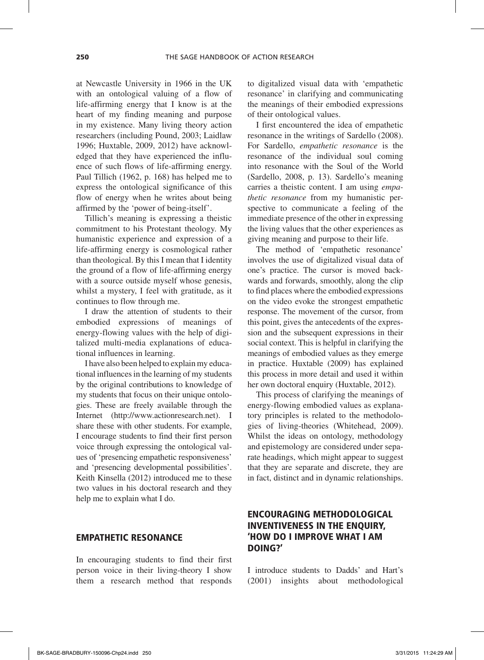at Newcastle University in 1966 in the UK with an ontological valuing of a flow of life-affirming energy that I know is at the heart of my finding meaning and purpose in my existence. Many living theory action researchers (including Pound, 2003; Laidlaw 1996; Huxtable, 2009, 2012) have acknowledged that they have experienced the influence of such flows of life-affirming energy. Paul Tillich (1962, p. 168) has helped me to express the ontological significance of this flow of energy when he writes about being affirmed by the 'power of being-itself'.

Tillich's meaning is expressing a theistic commitment to his Protestant theology. My humanistic experience and expression of a life-affirming energy is cosmological rather than theological. By this I mean that I identity the ground of a flow of life-affirming energy with a source outside myself whose genesis, whilst a mystery, I feel with gratitude, as it continues to flow through me.

I draw the attention of students to their embodied expressions of meanings of energy-flowing values with the help of digitalized multi-media explanations of educational influences in learning.

I have also been helped to explain my educational influences in the learning of my students by the original contributions to knowledge of my students that focus on their unique ontologies. These are freely available through the Internet (http://www.actionresearch.net). I share these with other students. For example, I encourage students to find their first person voice through expressing the ontological values of 'presencing empathetic responsiveness' and 'presencing developmental possibilities'. Keith Kinsella (2012) introduced me to these two values in his doctoral research and they help me to explain what I do.

### Empathetic resonance

In encouraging students to find their first person voice in their living-theory I show them a research method that responds

to digitalized visual data with 'empathetic resonance' in clarifying and communicating the meanings of their embodied expressions of their ontological values.

I first encountered the idea of empathetic resonance in the writings of Sardello (2008). For Sardello, *empathetic resonance* is the resonance of the individual soul coming into resonance with the Soul of the World (Sardello, 2008, p. 13). Sardello's meaning carries a theistic content. I am using *empathetic resonance* from my humanistic perspective to communicate a feeling of the immediate presence of the other in expressing the living values that the other experiences as giving meaning and purpose to their life.

The method of 'empathetic resonance' involves the use of digitalized visual data of one's practice. The cursor is moved backwards and forwards, smoothly, along the clip to find places where the embodied expressions on the video evoke the strongest empathetic response. The movement of the cursor, from this point, gives the antecedents of the expression and the subsequent expressions in their social context. This is helpful in clarifying the meanings of embodied values as they emerge in practice. Huxtable (2009) has explained this process in more detail and used it within her own doctoral enquiry (Huxtable, 2012).

This process of clarifying the meanings of energy-flowing embodied values as explanatory principles is related to the methodologies of living-theories (Whitehead, 2009). Whilst the ideas on ontology, methodology and epistemology are considered under separate headings, which might appear to suggest that they are separate and discrete, they are in fact, distinct and in dynamic relationships.

## Encouraging methodological INVENTIVENESS IN THE ENOUIRY, 'How do I improve what I am DOING?'

I introduce students to Dadds' and Hart's (2001) insights about methodological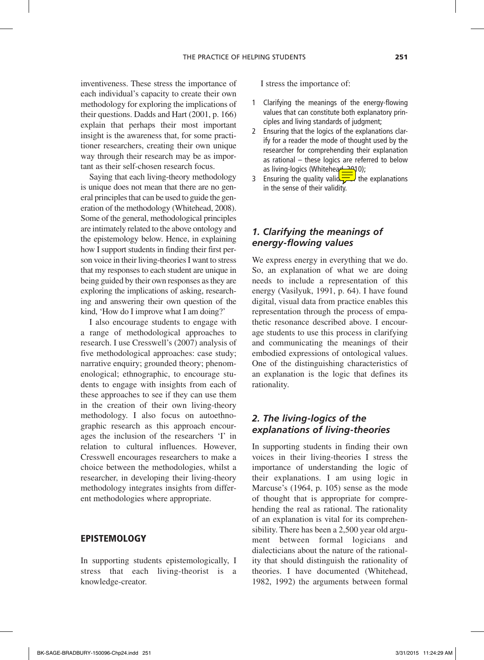inventiveness. These stress the importance of each individual's capacity to create their own methodology for exploring the implications of their questions. Dadds and Hart (2001, p. 166) explain that perhaps their most important insight is the awareness that, for some practitioner researchers, creating their own unique way through their research may be as important as their self-chosen research focus.

Saying that each living-theory methodology is unique does not mean that there are no general principles that can be used to guide the generation of the methodology (Whitehead, 2008). Some of the general, methodological principles are intimately related to the above ontology and the epistemology below. Hence, in explaining how I support students in finding their first person voice in their living-theories I want to stress that my responses to each student are unique in being guided by their own responses as they are exploring the implications of asking, researching and answering their own question of the kind, 'How do I improve what I am doing?'

I also encourage students to engage with a range of methodological approaches to research. I use Cresswell's (2007) analysis of five methodological approaches: case study; narrative enquiry; grounded theory; phenomenological; ethnographic, to encourage students to engage with insights from each of these approaches to see if they can use them in the creation of their own living-theory methodology. I also focus on autoethnographic research as this approach encourages the inclusion of the researchers 'I' in relation to cultural influences. However, Cresswell encourages researchers to make a choice between the methodologies, whilst a researcher, in developing their living-theory methodology integrates insights from different methodologies where appropriate.

#### **EPISTEMOLOGY**

In supporting students epistemologically, I stress that each living-theorist is a knowledge-creator.

I stress the importance of:

- 1 Clarifying the meanings of the energy-flowing values that can constitute both explanatory principles and living standards of judgment;
- 2 Ensuring that the logics of the explanations clarify for a reader the mode of thought used by the researcher for comprehending their explanation as rational – these logics are referred to below as living-logics (Whitehead, 2010);
- 3 Ensuring the quality valid $\frac{1}{\sqrt{2}}$  the explanations in the sense of their validity.

## *1. Clarifying the meanings of energy-flowing values*

We express energy in everything that we do. So, an explanation of what we are doing needs to include a representation of this energy (Vasilyuk, 1991, p. 64). I have found digital, visual data from practice enables this representation through the process of empathetic resonance described above. I encourage students to use this process in clarifying and communicating the meanings of their embodied expressions of ontological values. One of the distinguishing characteristics of an explanation is the logic that defines its rationality.

## *2. The living-logics of the explanations of living-theories*

In supporting students in finding their own voices in their living-theories I stress the importance of understanding the logic of their explanations. I am using logic in Marcuse's (1964, p. 105) sense as the mode of thought that is appropriate for comprehending the real as rational. The rationality of an explanation is vital for its comprehensibility. There has been a 2,500 year old argument between formal logicians and dialecticians about the nature of the rationality that should distinguish the rationality of theories. I have documented (Whitehead, 1982, 1992) the arguments between formal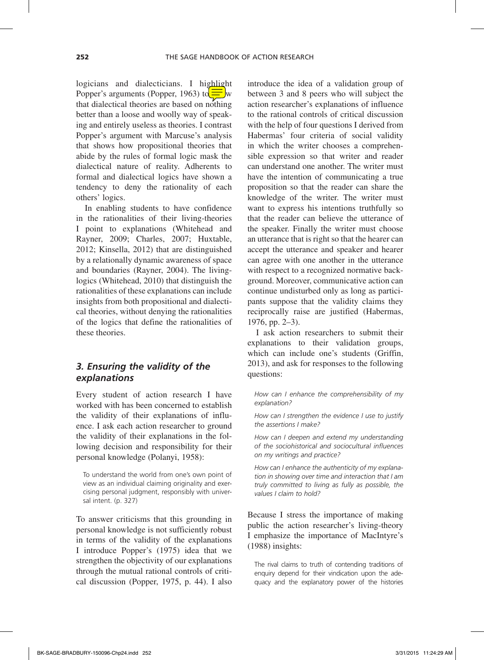logicians and dialecticians. I highlight Popper's arguments (Popper, 1963) to $\frac{1}{\sqrt{2}}$  w that dialectical theories are based on nothing better than a loose and woolly way of speaking and entirely useless as theories. I contrast Popper's argument with Marcuse's analysis that shows how propositional theories that abide by the rules of formal logic mask the dialectical nature of reality. Adherents to formal and dialectical logics have shown a tendency to deny the rationality of each others' logics.

In enabling students to have confidence in the rationalities of their living-theories I point to explanations (Whitehead and Rayner, 2009; Charles, 2007; Huxtable, 2012; Kinsella, 2012) that are distinguished by a relationally dynamic awareness of space and boundaries (Rayner, 2004). The livinglogics (Whitehead, 2010) that distinguish the rationalities of these explanations can include insights from both propositional and dialectical theories, without denying the rationalities of the logics that define the rationalities of these theories.

## *3. Ensuring the validity of the explanations*

Every student of action research I have worked with has been concerned to establish the validity of their explanations of influence. I ask each action researcher to ground the validity of their explanations in the following decision and responsibility for their personal knowledge (Polanyi, 1958):

To understand the world from one's own point of view as an individual claiming originality and exercising personal judgment, responsibly with universal intent. (p. 327)

To answer criticisms that this grounding in personal knowledge is not sufficiently robust in terms of the validity of the explanations I introduce Popper's (1975) idea that we strengthen the objectivity of our explanations through the mutual rational controls of critical discussion (Popper, 1975, p. 44). I also

introduce the idea of a validation group of between 3 and 8 peers who will subject the action researcher's explanations of influence to the rational controls of critical discussion with the help of four questions I derived from Habermas' four criteria of social validity in which the writer chooses a comprehensible expression so that writer and reader can understand one another. The writer must have the intention of communicating a true proposition so that the reader can share the knowledge of the writer. The writer must want to express his intentions truthfully so that the reader can believe the utterance of the speaker. Finally the writer must choose an utterance that is right so that the hearer can accept the utterance and speaker and hearer can agree with one another in the utterance with respect to a recognized normative background. Moreover, communicative action can continue undisturbed only as long as participants suppose that the validity claims they reciprocally raise are justified (Habermas, 1976, pp. 2–3).

I ask action researchers to submit their explanations to their validation groups, which can include one's students (Griffin, 2013), and ask for responses to the following questions:

*How can I enhance the comprehensibility of my explanation?*

*How can I strengthen the evidence I use to justify the assertions I make?*

*How can I deepen and extend my understanding of the sociohistorical and sociocultural influences on my writings and practice?*

*How can I enhance the authenticity of my explanation in showing over time and interaction that I am truly committed to living as fully as possible, the values I claim to hold?*

Because I stress the importance of making public the action researcher's living-theory I emphasize the importance of MacIntyre's (1988) insights:

The rival claims to truth of contending traditions of enquiry depend for their vindication upon the adequacy and the explanatory power of the histories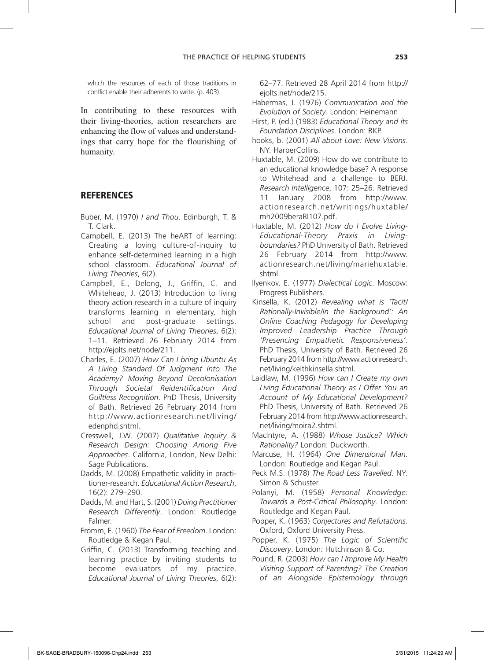which the resources of each of those traditions in conflict enable their adherents to write. (p. 403)

In contributing to these resources with their living-theories, action researchers are enhancing the flow of values and understandings that carry hope for the flourishing of humanity.

#### **REFERENCES**

- Buber, M. (1970) *I and Thou*. Edinburgh, T. & T. Clark.
- Campbell, E. (2013) The heART of learning: Creating a loving culture-of-inquiry to enhance self-determined learning in a high school classroom. *Educational Journal of Living Theories*, 6(2).
- Campbell, E., Delong, J., Griffin, C. and Whitehead, J. (2013) Introduction to living theory action research in a culture of inquiry transforms learning in elementary, high school and post-graduate settings. *Educational Journal of Living Theories*, 6(2): 1–11. Retrieved 26 February 2014 from http://ejolts.net/node/211.
- Charles, E. (2007) *How Can I bring Ubuntu As A Living Standard Of Judgment Into The Academy? Moving Beyond Decolonisation Through Societal Reidentification And Guiltless Recognition*. PhD Thesis, University of Bath. Retrieved 26 February 2014 from http://www.actionresearch.net/living/ edenphd.shtml.
- Cresswell, J.W. (2007) *Qualitative Inquiry & Research Design: Choosing Among Five Approaches*. California, London, New Delhi: Sage Publications.
- Dadds, M. (2008) Empathetic validity in practitioner-research. *Educational Action Research*, 16(2): 279–290.
- Dadds, M. and Hart, S. (2001) *Doing Practitioner Research Differently*. London: Routledge Falmer.
- Fromm, E. (1960) *The Fear of Freedom*. London: Routledge & Kegan Paul.
- Griffin, C. (2013) Transforming teaching and learning practice by inviting students to become evaluators of my practice. *Educational Journal of Living Theories*, 6(2):

62–77. Retrieved 28 April 2014 from http:// ejolts.net/node/215.

- Habermas, J. (1976) *Communication and the Evolution of Society*. London: Heinemann
- Hirst, P. (ed.) (1983) *Educational Theory and its Foundation Disciplines*. London: RKP.
- hooks, b. (2001) *All about Love: New Visions*. NY: HarperCollins.
- Huxtable, M. (2009) How do we contribute to an educational knowledge base? A response to Whitehead and a challenge to BERJ. *Research Intelligence*, 107: 25–26. Retrieved 11 January 2008 from http://www. actionresearch.net/writings/huxtable/ mh2009beraRI107.pdf.
- Huxtable, M. (2012) *How do I Evolve Living-Educational-Theory Praxis in Livingboundaries?* PhD University of Bath. Retrieved 26 February 2014 from http://www. actionresearch.net/living/mariehuxtable. shtml.
- Ilyenkov, E. (1977) *Dialectical Logic*. Moscow: Progress Publishers.
- Kinsella, K. (2012) *Revealing what is 'Tacit/ Rationally-Invisible/In the Background': An Online Coaching Pedagogy for Developing Improved Leadership Practice Through 'Presencing Empathetic Responsiveness'.* PhD Thesis, University of Bath. Retrieved 26 February 2014 from http://www.actionresearch. net/living/keithkinsella.shtml.
- Laidlaw, M. (1996) *How can I Create my own Living Educational Theory as I Offer You an Account of My Educational Development?* PhD Thesis, University of Bath. Retrieved 26 February 2014 from http://www.actionresearch. net/living/moira2.shtml.
- MacIntyre, A. (1988) *Whose Justice? Which Rationality?* London: Duckworth.
- Marcuse, H. (1964) *One Dimensional Man*. London: Routledge and Kegan Paul.
- Peck M.S. (1978) *The Road Less Travelled*. NY: Simon & Schuster.
- Polanyi, M. (1958) *Personal Knowledge: Towards a Post-Critical Philosophy*. London: Routledge and Kegan Paul.
- Popper, K. (1963) *Conjectures and Refutations*. Oxford, Oxford University Press.
- Popper, K. (1975) *The Logic of Scientific Discovery*. London: Hutchinson & Co.
- Pound, R. (2003) *How can I Improve My Health Visiting Support of Parenting? The Creation of an Alongside Epistemology through*